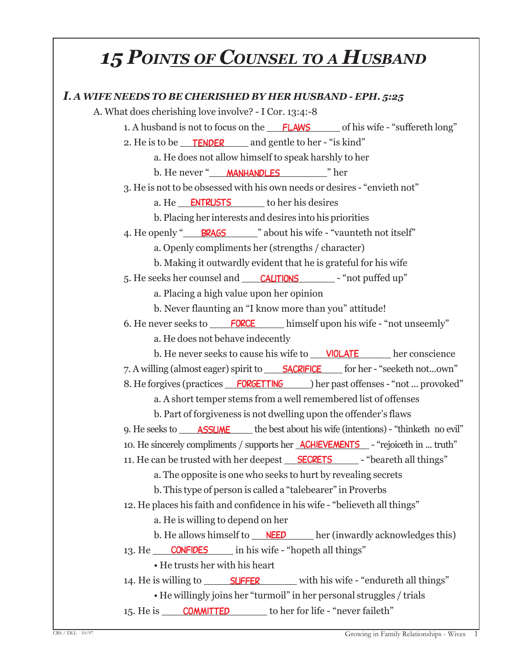# *15 POINTS OF COUNSEL TO <sup>A</sup> HUSBAND*

| I. A WIFE NEEDS TO BE CHERISHED BY HER HUSBAND - EPH. 5:25                                                         |
|--------------------------------------------------------------------------------------------------------------------|
| A. What does cherishing love involve? - I Cor. 13:4:-8                                                             |
| 1. A husband is not to focus on the <b>FLAWS</b> of his wife - "suffereth long"                                    |
| 2. He is to be <u>FENDER</u> and gentle to her - "is kind"                                                         |
| a. He does not allow himself to speak harshly to her                                                               |
| b. He never "MANHANDLES" her                                                                                       |
| 3. He is not to be obsessed with his own needs or desires - "envieth not"                                          |
| a. He <b>ENTRUSTS</b> to her his desires                                                                           |
| b. Placing her interests and desires into his priorities                                                           |
| 4. He openly " <b>BRAGS</b> " about his wife - "vaunteth not itself"                                               |
| a. Openly compliments her (strengths / character)                                                                  |
| b. Making it outwardly evident that he is grateful for his wife                                                    |
| 5. He seeks her counsel and CAUTIONS - "not puffed up"                                                             |
| a. Placing a high value upon her opinion                                                                           |
| b. Never flaunting an "I know more than you" attitude!                                                             |
| 6. He never seeks to <b>FORCE</b> himself upon his wife - "not unseemly"                                           |
| a. He does not behave indecently                                                                                   |
| b. He never seeks to cause his wife to __ <b>VIOLATE</b> her conscience                                            |
| 7. A willing (almost eager) spirit to <b>SACRIFICE</b> for her - "seeketh notown"                                  |
| 8. He forgives (practices FORGETTING ) her past offenses - "not  provoked"                                         |
| a. A short temper stems from a well remembered list of offenses                                                    |
| b. Part of forgiveness is not dwelling upon the offender's flaws                                                   |
| 9. He seeks to <b>ASSUME</b> the best about his wife (intentions) - "thinketh no evil"                             |
| 10. He sincerely compliments / supports her <b>ACHIEVEMENTS</b> - "rejoiceth in  truth"                            |
| 11. He can be trusted with her deepest <u>SECRETS</u> - "beareth all things"                                       |
| a. The opposite is one who seeks to hurt by revealing secrets                                                      |
| b. This type of person is called a "talebearer" in Proverbs                                                        |
| 12. He places his faith and confidence in his wife - "believeth all things"                                        |
| a. He is willing to depend on her<br>b. He allows himself to __ <b>NEED</b> _____ her (inwardly acknowledges this) |
| 13. He <b>CONFIDES</b> in his wife - "hopeth all things"                                                           |
| • He trusts her with his heart                                                                                     |
|                                                                                                                    |
| • He willingly joins her "turmoil" in her personal struggles / trials                                              |
| 15. He is <b>COMMITTED</b> to her for life - "never faileth"                                                       |
|                                                                                                                    |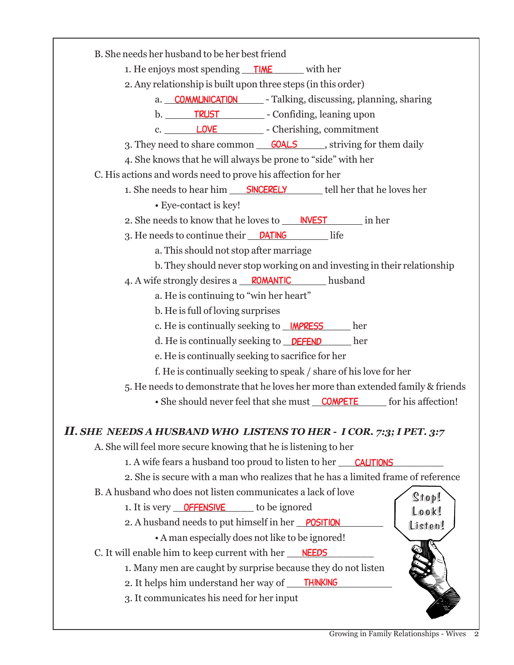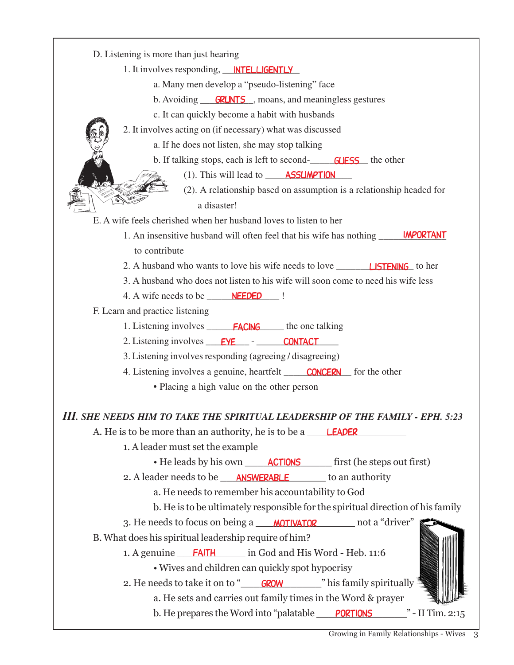| D. Listening is more than just hearing<br>1. It involves responding, <b>NTELLIGENTLY</b><br>a. Many men develop a "pseudo-listening" face<br>b. Avoiding <b>GRUNTS</b> , moans, and meaningless gestures<br>c. It can quickly become a habit with husbands<br>2. It involves acting on (if necessary) what was discussed<br>a. If he does not listen, she may stop talking<br>b. If talking stops, each is left to second- <b>GUESS</b> the other<br>$(1)$ . This will lead to $\_\_\_\$ <b>ASSUMPTION</b><br>(2). A relationship based on assumption is a relationship headed for<br>a disaster!<br>E. A wife feels cherished when her husband loves to listen to her<br>1. An insensitive husband will often feel that his wife has nothing ______ <b>IMPORTANT</b><br>to contribute<br>3. A husband who does not listen to his wife will soon come to need his wife less<br>4. A wife needs to be ______ <b>NEEDED</b>  <br>F. Learn and practice listening<br>1. Listening involves <b>FACING</b> the one talking<br>2. Listening involves <u>EYE</u> - CONTACT<br>3. Listening involves responding (agreeing / disagreeing)<br>4. Listening involves a genuine, heartfelt <b>CONCERN</b> for the other<br>• Placing a high value on the other person<br>III. SHE NEEDS HIM TO TAKE THE SPIRITUAL LEADERSHIP OF THE FAMILY - EPH. 5:23<br>A. He is to be more than an authority, he is to be a <b>LEADER</b><br>1. A leader must set the example<br>• He leads by his own <b>ACTIONS</b> first (he steps out first)<br>2. A leader needs to be <b>ANSWERABLE</b> to an authority<br>a. He needs to remember his accountability to God<br>b. He is to be ultimately responsible for the spiritual direction of his family<br>3. He needs to focus on being a MOTIVATOR not a "driver"<br>B. What does his spiritual leadership require of him?<br>1. A genuine FAITH in God and His Word - Heb. 11:6 |  |
|---------------------------------------------------------------------------------------------------------------------------------------------------------------------------------------------------------------------------------------------------------------------------------------------------------------------------------------------------------------------------------------------------------------------------------------------------------------------------------------------------------------------------------------------------------------------------------------------------------------------------------------------------------------------------------------------------------------------------------------------------------------------------------------------------------------------------------------------------------------------------------------------------------------------------------------------------------------------------------------------------------------------------------------------------------------------------------------------------------------------------------------------------------------------------------------------------------------------------------------------------------------------------------------------------------------------------------------------------------------------------------------------------------------------------------------------------------------------------------------------------------------------------------------------------------------------------------------------------------------------------------------------------------------------------------------------------------------------------------------------------------------------------------------------------------------------------------------------------------------------------------------------------------|--|
|                                                                                                                                                                                                                                                                                                                                                                                                                                                                                                                                                                                                                                                                                                                                                                                                                                                                                                                                                                                                                                                                                                                                                                                                                                                                                                                                                                                                                                                                                                                                                                                                                                                                                                                                                                                                                                                                                                         |  |
|                                                                                                                                                                                                                                                                                                                                                                                                                                                                                                                                                                                                                                                                                                                                                                                                                                                                                                                                                                                                                                                                                                                                                                                                                                                                                                                                                                                                                                                                                                                                                                                                                                                                                                                                                                                                                                                                                                         |  |
|                                                                                                                                                                                                                                                                                                                                                                                                                                                                                                                                                                                                                                                                                                                                                                                                                                                                                                                                                                                                                                                                                                                                                                                                                                                                                                                                                                                                                                                                                                                                                                                                                                                                                                                                                                                                                                                                                                         |  |
|                                                                                                                                                                                                                                                                                                                                                                                                                                                                                                                                                                                                                                                                                                                                                                                                                                                                                                                                                                                                                                                                                                                                                                                                                                                                                                                                                                                                                                                                                                                                                                                                                                                                                                                                                                                                                                                                                                         |  |
|                                                                                                                                                                                                                                                                                                                                                                                                                                                                                                                                                                                                                                                                                                                                                                                                                                                                                                                                                                                                                                                                                                                                                                                                                                                                                                                                                                                                                                                                                                                                                                                                                                                                                                                                                                                                                                                                                                         |  |
|                                                                                                                                                                                                                                                                                                                                                                                                                                                                                                                                                                                                                                                                                                                                                                                                                                                                                                                                                                                                                                                                                                                                                                                                                                                                                                                                                                                                                                                                                                                                                                                                                                                                                                                                                                                                                                                                                                         |  |
|                                                                                                                                                                                                                                                                                                                                                                                                                                                                                                                                                                                                                                                                                                                                                                                                                                                                                                                                                                                                                                                                                                                                                                                                                                                                                                                                                                                                                                                                                                                                                                                                                                                                                                                                                                                                                                                                                                         |  |
|                                                                                                                                                                                                                                                                                                                                                                                                                                                                                                                                                                                                                                                                                                                                                                                                                                                                                                                                                                                                                                                                                                                                                                                                                                                                                                                                                                                                                                                                                                                                                                                                                                                                                                                                                                                                                                                                                                         |  |
|                                                                                                                                                                                                                                                                                                                                                                                                                                                                                                                                                                                                                                                                                                                                                                                                                                                                                                                                                                                                                                                                                                                                                                                                                                                                                                                                                                                                                                                                                                                                                                                                                                                                                                                                                                                                                                                                                                         |  |
|                                                                                                                                                                                                                                                                                                                                                                                                                                                                                                                                                                                                                                                                                                                                                                                                                                                                                                                                                                                                                                                                                                                                                                                                                                                                                                                                                                                                                                                                                                                                                                                                                                                                                                                                                                                                                                                                                                         |  |
|                                                                                                                                                                                                                                                                                                                                                                                                                                                                                                                                                                                                                                                                                                                                                                                                                                                                                                                                                                                                                                                                                                                                                                                                                                                                                                                                                                                                                                                                                                                                                                                                                                                                                                                                                                                                                                                                                                         |  |
|                                                                                                                                                                                                                                                                                                                                                                                                                                                                                                                                                                                                                                                                                                                                                                                                                                                                                                                                                                                                                                                                                                                                                                                                                                                                                                                                                                                                                                                                                                                                                                                                                                                                                                                                                                                                                                                                                                         |  |
|                                                                                                                                                                                                                                                                                                                                                                                                                                                                                                                                                                                                                                                                                                                                                                                                                                                                                                                                                                                                                                                                                                                                                                                                                                                                                                                                                                                                                                                                                                                                                                                                                                                                                                                                                                                                                                                                                                         |  |
|                                                                                                                                                                                                                                                                                                                                                                                                                                                                                                                                                                                                                                                                                                                                                                                                                                                                                                                                                                                                                                                                                                                                                                                                                                                                                                                                                                                                                                                                                                                                                                                                                                                                                                                                                                                                                                                                                                         |  |
|                                                                                                                                                                                                                                                                                                                                                                                                                                                                                                                                                                                                                                                                                                                                                                                                                                                                                                                                                                                                                                                                                                                                                                                                                                                                                                                                                                                                                                                                                                                                                                                                                                                                                                                                                                                                                                                                                                         |  |
|                                                                                                                                                                                                                                                                                                                                                                                                                                                                                                                                                                                                                                                                                                                                                                                                                                                                                                                                                                                                                                                                                                                                                                                                                                                                                                                                                                                                                                                                                                                                                                                                                                                                                                                                                                                                                                                                                                         |  |
|                                                                                                                                                                                                                                                                                                                                                                                                                                                                                                                                                                                                                                                                                                                                                                                                                                                                                                                                                                                                                                                                                                                                                                                                                                                                                                                                                                                                                                                                                                                                                                                                                                                                                                                                                                                                                                                                                                         |  |
|                                                                                                                                                                                                                                                                                                                                                                                                                                                                                                                                                                                                                                                                                                                                                                                                                                                                                                                                                                                                                                                                                                                                                                                                                                                                                                                                                                                                                                                                                                                                                                                                                                                                                                                                                                                                                                                                                                         |  |
|                                                                                                                                                                                                                                                                                                                                                                                                                                                                                                                                                                                                                                                                                                                                                                                                                                                                                                                                                                                                                                                                                                                                                                                                                                                                                                                                                                                                                                                                                                                                                                                                                                                                                                                                                                                                                                                                                                         |  |
|                                                                                                                                                                                                                                                                                                                                                                                                                                                                                                                                                                                                                                                                                                                                                                                                                                                                                                                                                                                                                                                                                                                                                                                                                                                                                                                                                                                                                                                                                                                                                                                                                                                                                                                                                                                                                                                                                                         |  |
|                                                                                                                                                                                                                                                                                                                                                                                                                                                                                                                                                                                                                                                                                                                                                                                                                                                                                                                                                                                                                                                                                                                                                                                                                                                                                                                                                                                                                                                                                                                                                                                                                                                                                                                                                                                                                                                                                                         |  |
|                                                                                                                                                                                                                                                                                                                                                                                                                                                                                                                                                                                                                                                                                                                                                                                                                                                                                                                                                                                                                                                                                                                                                                                                                                                                                                                                                                                                                                                                                                                                                                                                                                                                                                                                                                                                                                                                                                         |  |
|                                                                                                                                                                                                                                                                                                                                                                                                                                                                                                                                                                                                                                                                                                                                                                                                                                                                                                                                                                                                                                                                                                                                                                                                                                                                                                                                                                                                                                                                                                                                                                                                                                                                                                                                                                                                                                                                                                         |  |
|                                                                                                                                                                                                                                                                                                                                                                                                                                                                                                                                                                                                                                                                                                                                                                                                                                                                                                                                                                                                                                                                                                                                                                                                                                                                                                                                                                                                                                                                                                                                                                                                                                                                                                                                                                                                                                                                                                         |  |
|                                                                                                                                                                                                                                                                                                                                                                                                                                                                                                                                                                                                                                                                                                                                                                                                                                                                                                                                                                                                                                                                                                                                                                                                                                                                                                                                                                                                                                                                                                                                                                                                                                                                                                                                                                                                                                                                                                         |  |
|                                                                                                                                                                                                                                                                                                                                                                                                                                                                                                                                                                                                                                                                                                                                                                                                                                                                                                                                                                                                                                                                                                                                                                                                                                                                                                                                                                                                                                                                                                                                                                                                                                                                                                                                                                                                                                                                                                         |  |
|                                                                                                                                                                                                                                                                                                                                                                                                                                                                                                                                                                                                                                                                                                                                                                                                                                                                                                                                                                                                                                                                                                                                                                                                                                                                                                                                                                                                                                                                                                                                                                                                                                                                                                                                                                                                                                                                                                         |  |
|                                                                                                                                                                                                                                                                                                                                                                                                                                                                                                                                                                                                                                                                                                                                                                                                                                                                                                                                                                                                                                                                                                                                                                                                                                                                                                                                                                                                                                                                                                                                                                                                                                                                                                                                                                                                                                                                                                         |  |
|                                                                                                                                                                                                                                                                                                                                                                                                                                                                                                                                                                                                                                                                                                                                                                                                                                                                                                                                                                                                                                                                                                                                                                                                                                                                                                                                                                                                                                                                                                                                                                                                                                                                                                                                                                                                                                                                                                         |  |
|                                                                                                                                                                                                                                                                                                                                                                                                                                                                                                                                                                                                                                                                                                                                                                                                                                                                                                                                                                                                                                                                                                                                                                                                                                                                                                                                                                                                                                                                                                                                                                                                                                                                                                                                                                                                                                                                                                         |  |
|                                                                                                                                                                                                                                                                                                                                                                                                                                                                                                                                                                                                                                                                                                                                                                                                                                                                                                                                                                                                                                                                                                                                                                                                                                                                                                                                                                                                                                                                                                                                                                                                                                                                                                                                                                                                                                                                                                         |  |
|                                                                                                                                                                                                                                                                                                                                                                                                                                                                                                                                                                                                                                                                                                                                                                                                                                                                                                                                                                                                                                                                                                                                                                                                                                                                                                                                                                                                                                                                                                                                                                                                                                                                                                                                                                                                                                                                                                         |  |
| • Wives and children can quickly spot hypocrisy                                                                                                                                                                                                                                                                                                                                                                                                                                                                                                                                                                                                                                                                                                                                                                                                                                                                                                                                                                                                                                                                                                                                                                                                                                                                                                                                                                                                                                                                                                                                                                                                                                                                                                                                                                                                                                                         |  |
| 2. He needs to take it on to " <b>GROW</b> "" his family spiritually                                                                                                                                                                                                                                                                                                                                                                                                                                                                                                                                                                                                                                                                                                                                                                                                                                                                                                                                                                                                                                                                                                                                                                                                                                                                                                                                                                                                                                                                                                                                                                                                                                                                                                                                                                                                                                    |  |
| a. He sets and carries out family times in the Word & prayer                                                                                                                                                                                                                                                                                                                                                                                                                                                                                                                                                                                                                                                                                                                                                                                                                                                                                                                                                                                                                                                                                                                                                                                                                                                                                                                                                                                                                                                                                                                                                                                                                                                                                                                                                                                                                                            |  |
| b. He prepares the Word into "palatable PORTIONS" - II Tim. 2:15                                                                                                                                                                                                                                                                                                                                                                                                                                                                                                                                                                                                                                                                                                                                                                                                                                                                                                                                                                                                                                                                                                                                                                                                                                                                                                                                                                                                                                                                                                                                                                                                                                                                                                                                                                                                                                        |  |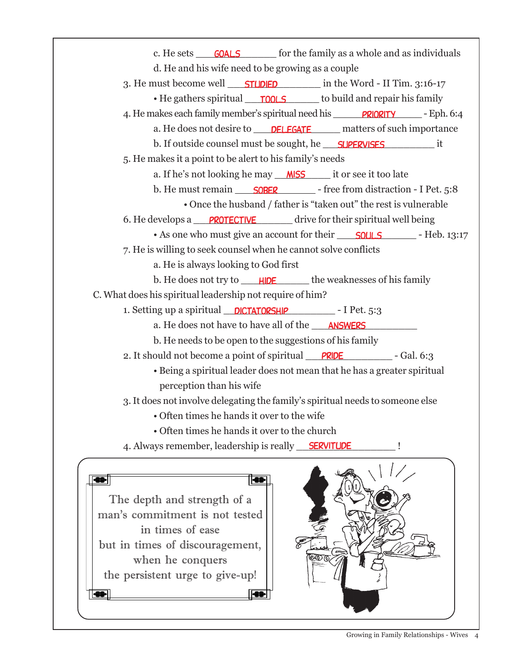c. He sets **GOALS** for the family as a whole and as individuals d. He and his wife need to be growing as a couple 3. He must become well **STUDIED** in the Word - II Tim. 3:16-17 • He gathers spiritual <u>rools</u> to build and repair his family 4. He makes each family member's spiritual need his **PRIORITY** Flat. 6:4 a. He does not desire to **DELEGATE** matters of such importance b. If outside counsel must be sought, he \_\_\_\_\_\_\_\_\_\_\_\_\_\_\_\_\_\_\_\_\_\_\_\_\_\_\_\_\_\_\_\_\_ it 5. He makes it a point to be alert to his family's needs a. If he's not looking he may *\_\_\_\_\_\_\_\_\_\_\_\_\_\_\_\_\_\_\_\_\_* it or see it too late b. He must remain <u>SOBER</u> Free from distraction - I Pet. 5:8 • Once the husband / father is "taken out" the rest is vulnerable 6. He develops a **PROTECTIVE** drive for their spiritual well being • As one who must give an account for their **SOULS** - Heb. 13:17 7. He is willing to seek counsel when he cannot solve conflicts a. He is always looking to God first b. He does not try to \_\_\_\_\_<mark>HIDE</mark> \_\_\_\_\_\_\_ the weaknesses of his family C. What does his spiritual leadership not require of him? 1. Setting up a spiritual **DICTATORSHIP** - I Pet. 5:3 a. He does not have to have all of the \_\_\_\_\_\_\_\_\_\_\_\_\_\_\_\_\_ answers b. He needs to be open to the suggestions of his family 2. It should not become a point of spiritual PRIDE - Gal. 6:3 • Being a spiritual leader does not mean that he has a greater spiritual perception than his wife 3. It does not involve delegating the family's spiritual needs to someone else • Often times he hands it over to the wife • Often times he hands it over to the church 4. Always remember, leadership is really **SERVITUDE** |  $\overline{\bullet}$ ▎ The depth and strength of a man's commitment is not tested in times of ease but in times of discouragement,

when he conquers the persistent urge to give-up!

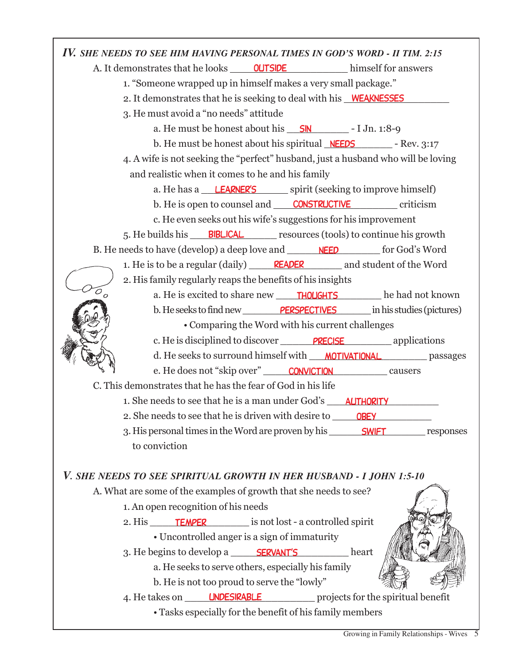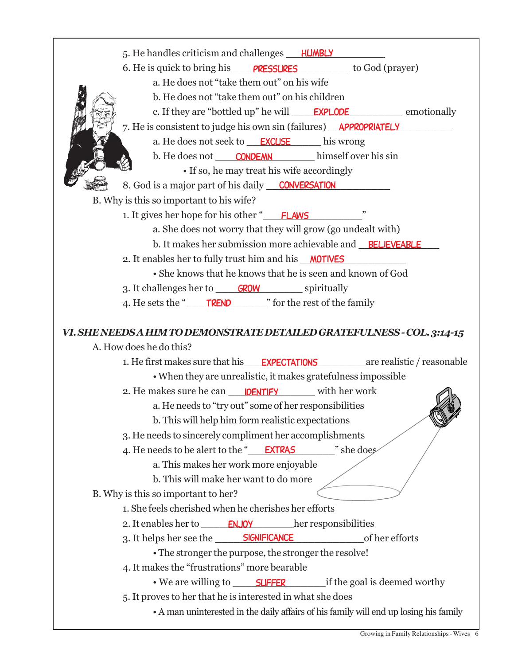5. He handles criticism and challenges \_\_\_\_\_\_\_\_\_\_\_\_\_\_\_\_ humbly 6. He is quick to bring his **PRESSURES** to God (prayer) a. He does not "take them out" on his wife b. He does not "take them out" on his children c. If they are "bottled up" he will **EXPLODE** emotionally 7. He is consistent to judge his own sin (failures) **APPROPRIATELY** a. He does not seek to **EXCUSE** his wrong b. He does not \_\_\_\_\_\_\_\_\_\_\_\_\_\_\_\_ himself over his sin condemn • If so, he may treat his wife accordingly 8. God is a major part of his daily **CONVERSATION** B. Why is this so important to his wife? 1. It gives her hope for his other " **FLAWS** a. She does not worry that they will grow (go undealt with) b. It makes her submission more achievable and **BELIEVEABLE** 2. It enables her to fully trust him and his **MOTIVES** • She knows that he knows that he is seen and known of God 3. It challenges her to **GROW** spiritually 4. He sets the "TREND" or the rest of the family *VI. SHE NEEDS A HIM TO DEMONSTRATE DETAILED GRATEFULNESS - COL. 3:14-15* A. How does he do this? 1. He first makes sure that his **EXPECTATIONS** are realistic / reasonable • When they are unrealistic, it makes gratefulness impossible 2. He makes sure he can **IDENTIFY** with her work a. He needs to "try out" some of her responsibilities b. This will help him form realistic expectations 3. He needs to sincerely compliment her accomplishments 4. He needs to be alert to the "
<u>EXTRAS</u> " she does a. This makes her work more enjoyable b. This will make her want to do more B. Why is this so important to her? 1. She feels cherished when he cherishes her efforts 2. It enables her to **ENJOY** her responsibilities 3. It helps her see the **SIGNIFICANCE** of her efforts • The stronger the purpose, the stronger the resolve! 4. It makes the "frustrations" more bearable • We are willing to **SUFFER** if the goal is deemed worthy 5. It proves to her that he is interested in what she does • A man uninterested in the daily affairs of his family will end up losing his family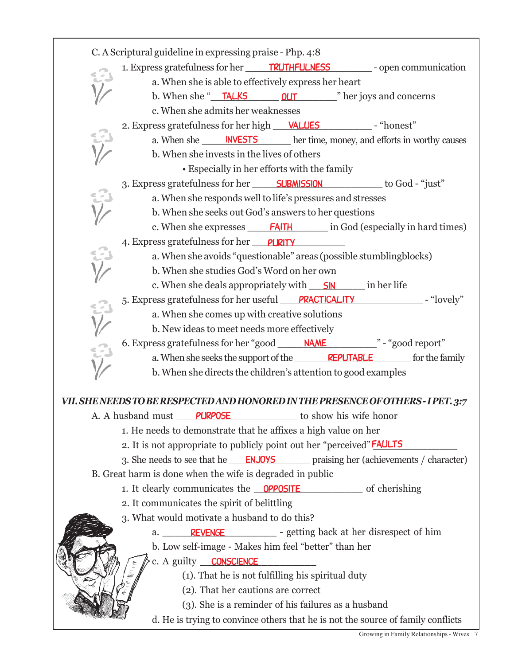|               | C. A Scriptural guideline in expressing praise - Php. 4:8                                 |
|---------------|-------------------------------------------------------------------------------------------|
|               |                                                                                           |
|               | a. When she is able to effectively express her heart                                      |
|               |                                                                                           |
|               | c. When she admits her weaknesses                                                         |
|               | 2. Express gratefulness for her high <u>VALUES</u> - "honest"                             |
|               | a. When she ______ INVESTS _______ her time, money, and efforts in worthy causes          |
|               | b. When she invests in the lives of others                                                |
|               | • Especially in her efforts with the family                                               |
|               | 3. Express gratefulness for her <b>SUBMISSION</b> to God - "just"                         |
|               | a. When she responds well to life's pressures and stresses                                |
|               | b. When she seeks out God's answers to her questions                                      |
|               |                                                                                           |
|               | 4. Express gratefulness for her PURITY                                                    |
|               | a. When she avoids "questionable" areas (possible stumblingblocks)                        |
|               | b. When she studies God's Word on her own                                                 |
|               | c. When she deals appropriately with <u>SIN</u> in her life                               |
|               | 5. Express gratefulness for her useful PRACTICALITY Flovely"                              |
|               | a. When she comes up with creative solutions                                              |
|               | b. New ideas to meet needs more effectively                                               |
|               | 6. Express gratefulness for her "good ______ NAME _________ " - "good report"             |
| $\frac{1}{2}$ | a. When she seeks the support of the <b>REPUTABLE</b> for the family                      |
|               | b. When she directs the children's attention to good examples                             |
|               | VII. SHE NEEDS TO BE RESPECTED AND HONORED IN THE PRESENCE OF OTHERS - I PET. 3:7         |
|               | to show his wife honor<br>A. A husband must PURPOSE                                       |
|               | 1. He needs to demonstrate that he affixes a high value on her                            |
|               | 2. It is not appropriate to publicly point out her "perceived" <b>FAULTS</b>              |
|               | 3. She needs to see that he <b>ENJOYS</b> praising her (achievements / character)         |
|               | B. Great harm is done when the wife is degraded in public                                 |
|               | 1. It clearly communicates the <b>OPPOSITE</b> of cherishing                              |
|               | 2. It communicates the spirit of belittling                                               |
|               |                                                                                           |
|               | 3. What would motivate a husband to do this?                                              |
|               | a. <b>REVENGE</b> example example example example a setting back at her disrespect of him |
|               |                                                                                           |
|               | b. Low self-image - Makes him feel "better" than her<br>c. A guilty CONSCIENCE            |
|               | (1). That he is not fulfilling his spiritual duty                                         |
|               | (2). That her cautions are correct                                                        |
|               | (3). She is a reminder of his failures as a husband                                       |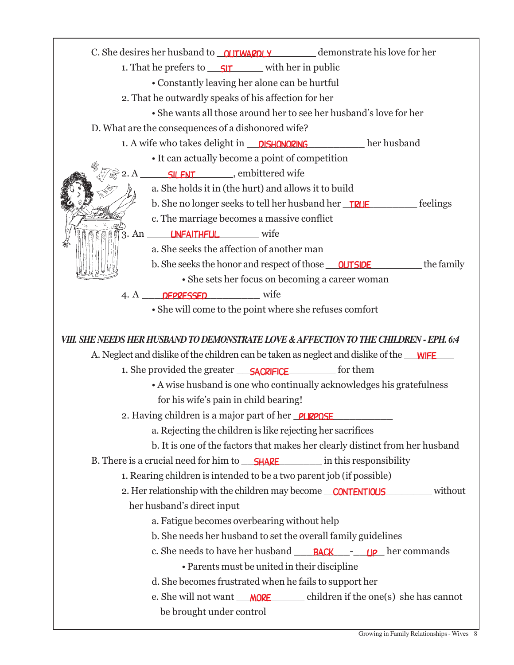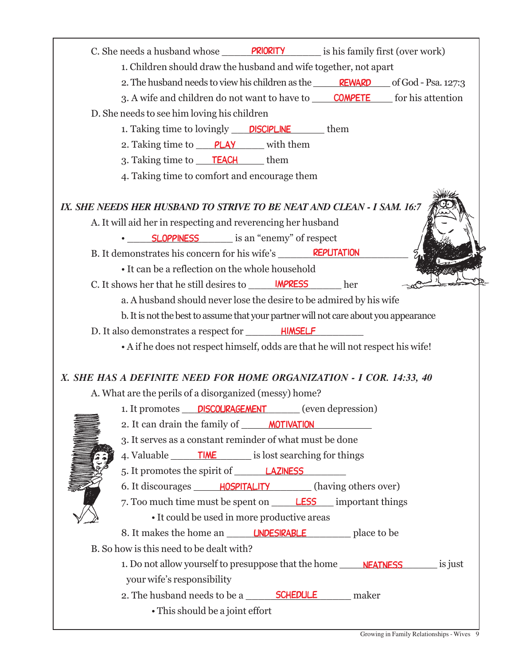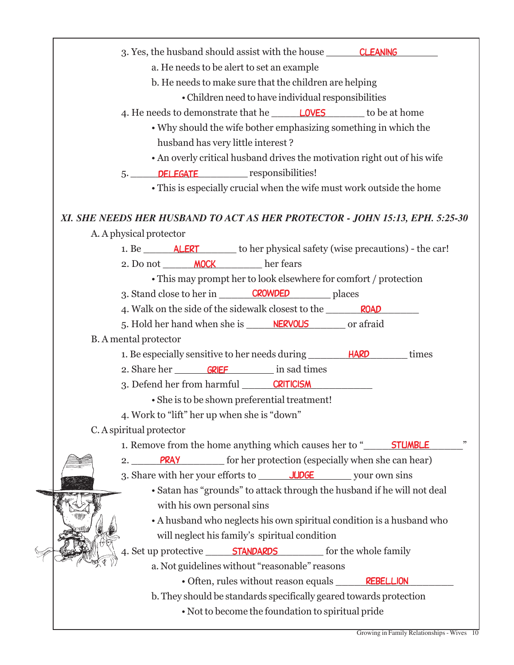| 3. Yes, the husband should assist with the house CLEANING                     |
|-------------------------------------------------------------------------------|
| a. He needs to be alert to set an example                                     |
| b. He needs to make sure that the children are helping                        |
| • Children need to have individual responsibilities                           |
| 4. He needs to demonstrate that he <b>LOVES</b> to be at home                 |
| • Why should the wife bother emphasizing something in which the               |
| husband has very little interest?                                             |
| • An overly critical husband drives the motivation right out of his wife      |
| 5. DELEGATE responsibilities!                                                 |
| • This is especially crucial when the wife must work outside the home         |
|                                                                               |
| XI. SHE NEEDS HER HUSBAND TO ACT AS HER PROTECTOR - JOHN 15:13, EPH. 5:25-30  |
| A. A physical protector                                                       |
|                                                                               |
| 2. Do not _______ MOCK her fears                                              |
| • This may prompt her to look elsewhere for comfort / protection              |
| 3. Stand close to her in CROWDED places                                       |
| 4. Walk on the side of the sidewalk closest to the ROAD                       |
| 5. Hold her hand when she is <b>NERVOUS</b> or a fraid                        |
| <b>B.</b> A mental protector                                                  |
| 1. Be especially sensitive to her needs during _________ <b>HARD</b><br>times |
| 2. Share her <b>GRIEF</b> in sad times                                        |
| 3. Defend her from harmful CRITICISM                                          |
| • She is to be shown preferential treatment!                                  |
| 4. Work to "lift" her up when she is "down"                                   |
| C. A spiritual protector                                                      |
| 1. Remove from the home anything which causes her to " STUMBLE                |
| <b>PRAY</b> for her protection (especially when she can hear)<br>2.           |
|                                                                               |
| • Satan has "grounds" to attack through the husband if he will not deal       |
| with his own personal sins                                                    |
| • A husband who neglects his own spiritual condition is a husband who         |
|                                                                               |
| will neglect his family's spiritual condition                                 |
|                                                                               |
| a. Not guidelines without "reasonable" reasons                                |
| • Often, rules without reason equals REBELLION                                |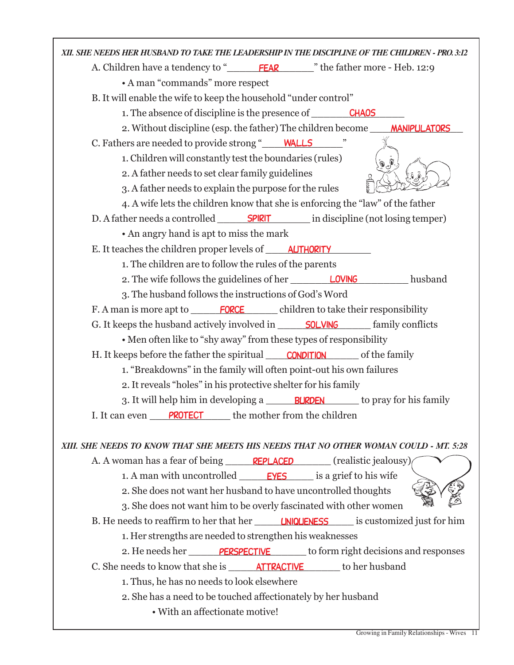| XII, SHE NEEDS HER HUSBAND TO TAKE THE LEADERSHIP IN THE DISCIPLINE OF THE CHILDREN - PRO.3:12 |
|------------------------------------------------------------------------------------------------|
| A. Children have a tendency to "FEAR The father more - Heb. 12:9                               |
| • A man "commands" more respect                                                                |
| B. It will enable the wife to keep the household "under control"                               |
| 1. The absence of discipline is the presence of <b>CHAOS</b>                                   |
| 2. Without discipline (esp. the father) The children become _____ MANIPULATORS                 |
| C. Fathers are needed to provide strong "WALLS"                                                |
| 1. Children will constantly test the boundaries (rules)<br>هي.<br>په                           |
| 2. A father needs to set clear family guidelines                                               |
| 3. A father needs to explain the purpose for the rules                                         |
| 4. A wife lets the children know that she is enforcing the "law" of the father                 |
| D. A father needs a controlled <b>SPIRIT</b> in discipline (not losing temper)                 |
| • An angry hand is apt to miss the mark                                                        |
| E. It teaches the children proper levels of ______ AUTHORITY                                   |
| 1. The children are to follow the rules of the parents                                         |
| 2. The wife follows the guidelines of her <b>LOVING</b> husband                                |
| 3. The husband follows the instructions of God's Word                                          |
| F. A man is more apt to <b>FORCE</b> children to take their responsibility                     |
|                                                                                                |
| • Men often like to "shy away" from these types of responsibility                              |
| H. It keeps before the father the spiritual <b>CONDITION</b> of the family                     |
| 1. "Breakdowns" in the family will often point-out his own failures                            |
| 2. It reveals "holes" in his protective shelter for his family                                 |
|                                                                                                |
| <b>PROTECT</b> the mother from the children<br>I. It can even                                  |
|                                                                                                |
| XIII. SHE NEEDS TO KNOW THAT SHE MEETS HIS NEEDS THAT NO OTHER WOMAN COULD - MT. 5:28          |
| A. A woman has a fear of being <b>REPLACED</b> (realistic jealousy)                            |
|                                                                                                |
| 2. She does not want her husband to have uncontrolled thoughts                                 |
| 3. She does not want him to be overly fascinated with other women                              |
| B. He needs to reaffirm to her that her <b>UNIQUENESS</b> is customized just for him           |
| 1. Her strengths are needed to strengthen his weaknesses                                       |
| 2. He needs her <b>PERSPECTIVE</b> to form right decisions and responses                       |
| C. She needs to know that she is <b>ATTRACTIVE</b> to her husband                              |
| 1. Thus, he has no needs to look elsewhere                                                     |
| 2. She has a need to be touched affectionately by her husband                                  |
| • With an affectionate motive!                                                                 |

Г

T.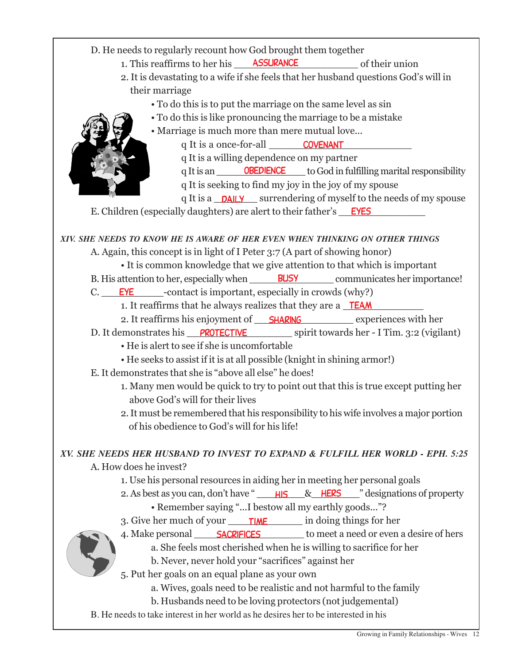D. He needs to regularly recount how God brought them together

- 1. This reaffirms to her his **ASSURANCE** of their union
- 2. It is devastating to a wife if she feels that her husband questions God's will in their marriage
	- To do this is to put the marriage on the same level as sin
	- To do this is like pronouncing the marriage to be a mistake
	- Marriage is much more than mere mutual love...



q It is a **DAILY** surrendering of myself to the needs of my spouse

E. Children (especially daughters) are alert to their father's <u>FYES</u>

*XIV. SHE NEEDS TO KNOW HE IS AWARE OF HER EVEN WHEN THINKING ON OTHER THINGS*

A. Again, this concept is in light of I Peter 3:7 (A part of showing honor)

• It is common knowledge that we give attention to that which is important

B. His attention to her, especially when **BUSY** communicates her importance!

C. EYE contact is important, especially in crowds (why?)

1. It reaffirms that he always realizes that they are a **TEAM** 

- 2. It reaffirms his enjoyment of **\_\_\_\_\_\_\_\_\_\_\_\_\_\_\_\_\_\_\_\_** experiences with her
- D. It demonstrates his **PROTECTIVE** spirit towards her I Tim. 3:2 (vigilant)
	- He is alert to see if she is uncomfortable
	- He seeks to assist if it is at all possible (knight in shining armor!)

E. It demonstrates that she is "above all else" he does!

- 1. Many men would be quick to try to point out that this is true except putting her above God's will for their lives
- 2. It must be remembered that his responsibility to his wife involves a major portion of his obedience to God's will for his life!

### *XV. SHE NEEDS HER HUSBAND TO INVEST TO EXPAND & FULFILL HER WORLD - EPH. 5:25*

### A. How does he invest?

1. Use his personal resources in aiding her in meeting her personal goals

- 2. As best as you can, don't have "
HIS & HERS "
designations of property • Remember saying "...I bestow all my earthly goods..."?
- 3. Give her much of your **TIME** in doing things for her
- 4. Make personal **SACRIFICES** to meet a need or even a desire of hers
	- a. She feels most cherished when he is willing to sacrifice for her
		- b. Never, never hold your "sacrifices" against her
- 5. Put her goals on an equal plane as your own
	- a. Wives, goals need to be realistic and not harmful to the family
	- b. Husbands need to be loving protectors (not judgemental)
- B. He needs to take interest in her world as he desires her to be interested in his

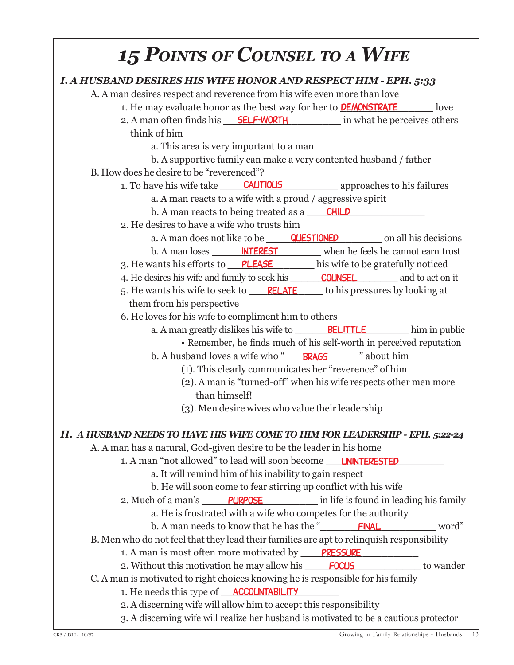## *15 POINTS OF COUNSEL TO <sup>A</sup> WIFE*

| <b>I. A HUSBAND DESIRES HIS WIFE HONOR AND RESPECT HIM - EPH. 5:33</b>                    |
|-------------------------------------------------------------------------------------------|
| A. A man desires respect and reverence from his wife even more than love                  |
| 1. He may evaluate honor as the best way for her to <b>DEMONSTRATE</b><br>love            |
| 2. A man often finds his <b>SELF-WORTH</b> in what he perceives others                    |
| think of him                                                                              |
| a. This area is very important to a man                                                   |
| b. A supportive family can make a very contented husband / father                         |
| B. How does he desire to be "reverenced"?                                                 |
| 1. To have his wife take <b>CAUTIOUS</b> approaches to his failures                       |
| a. A man reacts to a wife with a proud / aggressive spirit                                |
| b. A man reacts to being treated as a <b>CHILD</b>                                        |
| 2. He desires to have a wife who trusts him                                               |
| a. A man does not like to be <b>QUESTIONED</b> on all his decisions                       |
| b. A man loses <u>NTEREST</u> when he feels he cannot earn trust                          |
| 3. He wants his efforts to PLEASE his wife to be gratefully noticed                       |
| 4. He desires his wife and family to seek his <b>COUNSEL</b> and to act on it             |
|                                                                                           |
| them from his perspective                                                                 |
| 6. He loves for his wife to compliment him to others                                      |
| a. A man greatly dislikes his wife to <b>BELITTLE</b> him in public                       |
| • Remember, he finds much of his self-worth in perceived reputation                       |
| b. A husband loves a wife who "BRAGS" about him                                           |
| (1). This clearly communicates her "reverence" of him                                     |
| (2). A man is "turned-off" when his wife respects other men more                          |
| than himself!                                                                             |
| (3). Men desire wives who value their leadership                                          |
|                                                                                           |
| II. A HUSBAND NEEDS TO HAVE HIS WIFE COME TO HIM FOR LEADERSHIP - EPH. 5:22-24            |
| A. A man has a natural, God-given desire to be the leader in his home                     |
| 1. A man "not allowed" to lead will soon become <b>UNINTERESTED</b>                       |
| a. It will remind him of his inability to gain respect                                    |
| b. He will soon come to fear stirring up conflict with his wife                           |
| 2. Much of a man's <b>PURPOSE</b> in life is found in leading his family                  |
| a. He is frustrated with a wife who competes for the authority                            |
|                                                                                           |
| B. Men who do not feel that they lead their families are apt to relinquish responsibility |
| 1. A man is most often more motivated by PRESSURE                                         |
| 2. Without this motivation he may allow his <b>FOCUS</b> to wander                        |
| C. A man is motivated to right choices knowing he is responsible for his family           |
| 1. He needs this type of <b>ACCOUNTABILITY</b>                                            |
| 2. A discerning wife will allow him to accept this responsibility                         |
| 3. A discerning wife will realize her husband is motivated to be a cautious protector     |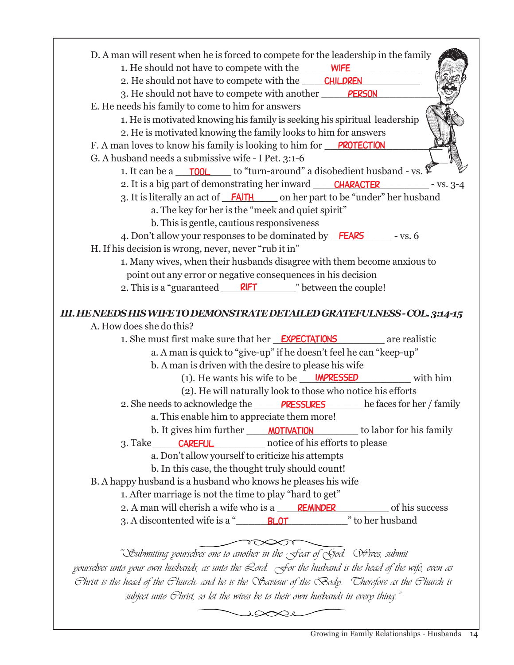| D. A man will resent when he is forced to compete for the leadership in the family                                           |
|------------------------------------------------------------------------------------------------------------------------------|
| 1. He should not have to compete with the WIFE                                                                               |
| 2. He should not have to compete with the CHILDREN                                                                           |
| 3. He should not have to compete with another PERSON                                                                         |
| E. He needs his family to come to him for answers                                                                            |
| 1. He is motivated knowing his family is seeking his spiritual leadership                                                    |
| 2. He is motivated knowing the family looks to him for answers                                                               |
| F. A man loves to know his family is looking to him for <u>PROTECTION</u>                                                    |
| G. A husband needs a submissive wife - I Pet. 3:1-6                                                                          |
| 1. It can be a $\Box$ TOOL to "turn-around" a disobedient husband - vs.                                                      |
| 2. It is a big part of demonstrating her inward CHARACTER - vs. 3-4                                                          |
| 3. It is literally an act of <b>FAITH</b> on her part to be "under" her husband                                              |
| a. The key for her is the "meek and quiet spirit"                                                                            |
| b. This is gentle, cautious responsiveness                                                                                   |
| 4. Don't allow your responses to be dominated by <b>FEARS</b> - vs. 6                                                        |
| H. If his decision is wrong, never, never "rub it in"                                                                        |
| 1. Many wives, when their husbands disagree with them become anxious to                                                      |
| point out any error or negative consequences in his decision                                                                 |
| 2. This is a "guaranteed <b>RIFT</b> etween the couple!                                                                      |
|                                                                                                                              |
| III. HENEEDS HIS WIFE TO DEMONSTRATE DETAILED GRATEFULNESS - COL. 3:14-15                                                    |
| A. How does she do this?                                                                                                     |
| 1. She must first make sure that her <b>EXPECTATIONS</b> are realistic                                                       |
|                                                                                                                              |
| a. A man is quick to "give-up" if he doesn't feel he can "keep-up"                                                           |
| b. A man is driven with the desire to please his wife                                                                        |
| (1). He wants his wife to be $\blacksquare$ <b>IMPRESSED</b><br>with him                                                     |
| (2). He will naturally look to those who notice his efforts                                                                  |
| 2. She needs to acknowledge the <b>PRESSURES</b> he faces for her / family                                                   |
| a. This enable him to appreciate them more!                                                                                  |
| b. It gives him further <b>MOTIVATION</b> to labor for his family                                                            |
| 3. Take <b>CAREFUL</b> notice of his efforts to please                                                                       |
| a. Don't allow yourself to criticize his attempts                                                                            |
| b. In this case, the thought truly should count!                                                                             |
| B. A happy husband is a husband who knows he pleases his wife                                                                |
| 1. After marriage is not the time to play "hard to get"                                                                      |
| 2. A man will cherish a wife who is a <u>REMINDER</u> of his success                                                         |
| 3. A discontented wife is a " BLOT  " to her husband                                                                         |
|                                                                                                                              |
|                                                                                                                              |
| "Submitting pourselves one to another in the Sear of Sod. Wrives, submit                                                     |
| pourselves unto pour own husbands, as unto the $\mathcal Q$ ord. $\bigcirc$ for the husband is the head of the wife, even as |
| Fhrist is the head of the Fhurch: and he is the Saviour of the Sody. Cherefore as the Fhurch is                              |
| subject unto Ghrist, so let the wives be to their own husbands in every thing."                                              |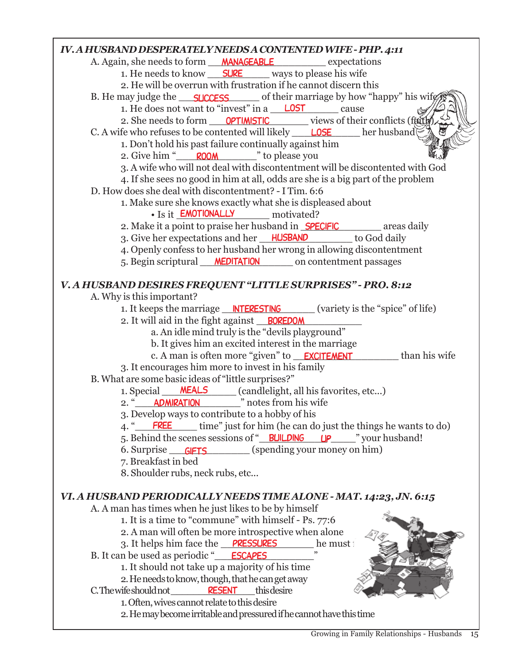#### *IV. A HUSBAND DESPERATELY NEEDS A CONTENTED WIFE - PHP. 4:11* A. Again, she needs to form *\_\_\_\_\_\_\_\_\_\_\_\_\_\_\_\_\_\_\_\_\_\_\_\_\_\_\_\_\_* expectations 1. He needs to know <u>SURE</u> ways to please his wife 2. He will be overrun with frustration if he cannot discern this B. He may judge the <u>success</u> of their marriage by how "happy" his wife **is** 1. He does not want to "invest" in a  $\sqrt{255}$  cause 2. She needs to form <u>OPTIMISTIC</u> views of their conflicts (faith) C. A wife who refuses to be contented will likely \_\_\_\_\_\_\_\_\_\_\_\_\_\_\_\_\_\_\_\_\_\_ her husband 1. Don't hold his past failure continually against him 2. Give him " ROOM The please you 3. A wife who will not deal with discontentment will be discontented with God 4. If she sees no good in him at all, odds are she is a big part of the problem D. How does she deal with discontentment? - I Tim. 6:6 1. Make sure she knows exactly what she is displeased about • Is it **EMOTIONALLY** motivated? 2. Make it a point to praise her husband in **SPECIFIC** areas daily 3. Give her expectations and her HUSBAND to God daily 4. Openly confess to her husband her wrong in allowing discontentment 5. Begin scriptural **MEDITATION** on contentment passages *V. A HUSBAND DESIRES FREQUENT "LITTLE SURPRISES" - PRO. 8:12* A. Why is this important? 1. It keeps the marriage **INTERESTING** (variety is the "spice" of life) 2. It will aid in the fight against **BOREDOM** a. An idle mind truly is the "devils playground" b. It gives him an excited interest in the marriage c. A man is often more "given" to **EXCITEMENT** than his wife 3. It encourages him more to invest in his family B. What are some basic ideas of "little surprises?" 1. Special MEALS (candlelight, all his favorites, etc...) 2. " **ADMIRATION** "
" notes from his wife 3. Develop ways to contribute to a hobby of his 4. "
FREE time" just for him (he can do just the things he wants to do) 5. Behind the scenes sessions of "\_\_\_\_\_\_\_\_\_\_\_-\_\_\_\_" your husband! building up 6. Surprise <u>GIFTS</u> (spending your money on him) 7. Breakfast in bed 8. Shoulder rubs, neck rubs, etc... *VI. A HUSBAND PERIODICALLY NEEDS TIME ALONE - MAT. 14:23, JN. 6:15* A. A man has times when he just likes to be by himself 1. It is a time to "commune" with himself - Ps. 77:6 2. A man will often be more introspective when alone 3. It helps him face the PRESSURES he must B. It can be used as periodic " **ESCAPES** " 1. It should not take up a majority of his time 2. He needs to know, though, that he can get away  $C$ . The wife should not 1. Often, wives cannot relate to this desire 2. He may become irritable and pressured if he cannot have this time **RESENT** this desire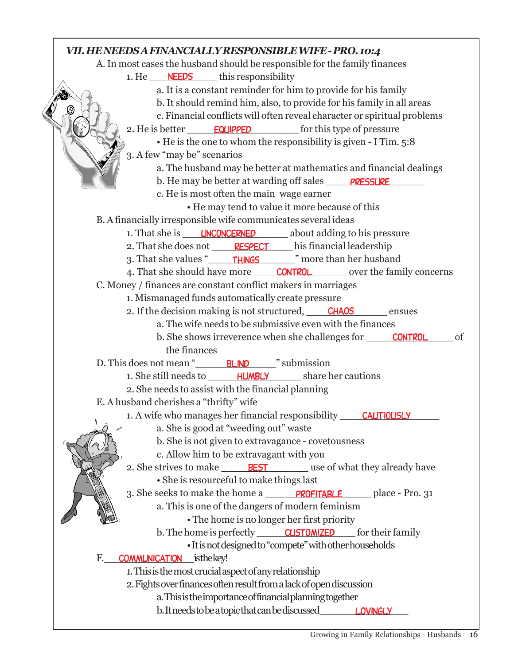### *VII. HE NEEDS A FINANCIALLY RESPONSIBLE WIFE - PRO. 10:4* A. In most cases the husband should be responsible for the family finances 1. He **NEEDS** this responsibility a. It is a constant reminder for him to provide for his family b. It should remind him, also, to provide for his family in all areas c. Financial conflicts will often reveal character or spiritual problems 2. He is better **EQUIPPED** for this type of pressure • He is the one to whom the responsibility is given - I Tim. 5:8 3. A few "may be" scenarios a. The husband may be better at mathematics and financial dealings b. He may be better at warding off sales **PRESSURE** c. He is most often the main wage earner • He may tend to value it more because of this B. A financially irresponsible wife communicates several ideas 1. That she is **LINCONCERNED** about adding to his pressure 2. That she does not **RESPECT** his financial leadership 3. That she values "\_\_\_\_\_\_\_\_\_\_\_\_\_\_" more than her husband things 4. That she should have more <u>CONTROL</u> over the family concerns C. Money / finances are constant conflict makers in marriages 1. Mismanaged funds automatically create pressure 2. If the decision making is not structured, CHAOS ensues a. The wife needs to be submissive even with the finances b. She shows irreverence when she challenges for **CONTROL** of the finances D. This does not mean "
<u>BLIND</u> " submission 1. She still needs to **HUMBLY** share her cautions 2. She needs to assist with the financial planning E. A husband cherishes a "thrifty" wife 1. A wife who manages her financial responsibility CAUTIOUSLY a. She is good at "weeding out" waste b. She is not given to extravagance - covetousness c. Allow him to be extravagant with you 2. She strives to make **BEST** use of what they already have • She is resourceful to make things last 3. She seeks to make the home a **PROFITABLE** place - Pro. 31 a. This is one of the dangers of modern feminism • The home is no longer her first priority b. The home is perfectly **CUSTOMIZED** for their family • It is not designed to "compete" with other households F. **COMMUNICATION** is the key! 1. This is the most crucial aspect of any relationship 2. Fights over finances often result from a lack of open discussion a. This is the importance of financial planning together b. It needs to be a topic that can be discussed **LOVINGLY**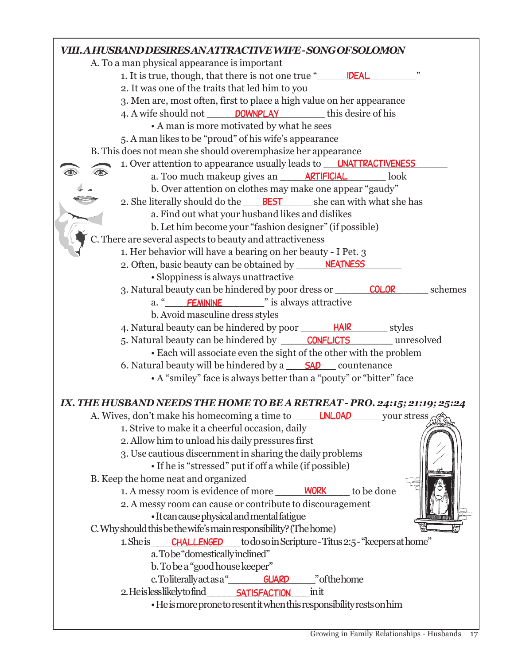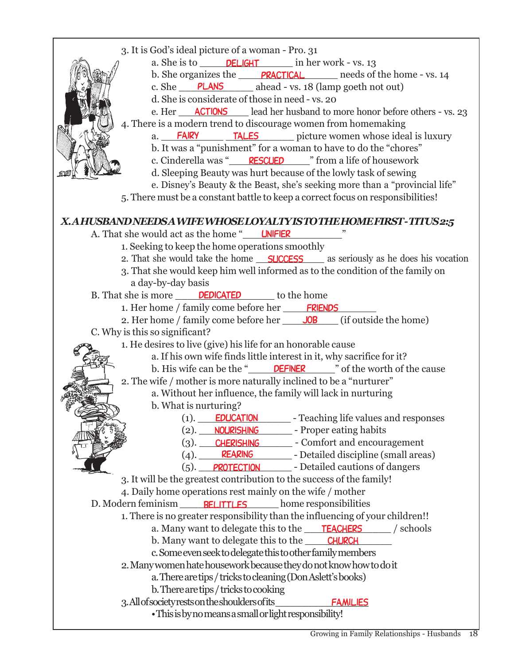| 3. It is God's ideal picture of a woman - Pro. 31<br>a. She is to $\qquad$ DELIGHT $\qquad$ in her work - vs. 13<br>b. She organizes the <b>PRACTICAL</b> needs of the home - vs. 14<br>c. She PLANS ahead - vs. 18 (lamp goeth not out)<br>d. She is considerate of those in need - vs. 20<br>e. Her <b>ACTIONS</b> lead her husband to more honor before others - vs. 23<br>4. There is a modern trend to discourage women from homemaking<br>a. FAIRY TALES picture women whose ideal is luxury<br>b. It was a "punishment" for a woman to have to do the "chores"<br>c. Cinderella was "RESCUED" rom a life of housework<br>d. Sleeping Beauty was hurt because of the lowly task of sewing<br>e. Disney's Beauty & the Beast, she's seeking more than a "provincial life"<br>5. There must be a constant battle to keep a correct focus on responsibilities! |
|-------------------------------------------------------------------------------------------------------------------------------------------------------------------------------------------------------------------------------------------------------------------------------------------------------------------------------------------------------------------------------------------------------------------------------------------------------------------------------------------------------------------------------------------------------------------------------------------------------------------------------------------------------------------------------------------------------------------------------------------------------------------------------------------------------------------------------------------------------------------|
| X.AHUSBAND NEEDSA WIFE WHOSE LOYALTY IS TO THE HOME FIRST - TITUS 2:5                                                                                                                                                                                                                                                                                                                                                                                                                                                                                                                                                                                                                                                                                                                                                                                             |
| <u>and</u> and the<br>A. That she would act as the home " UNFIER                                                                                                                                                                                                                                                                                                                                                                                                                                                                                                                                                                                                                                                                                                                                                                                                  |
| 1. Seeking to keep the home operations smoothly                                                                                                                                                                                                                                                                                                                                                                                                                                                                                                                                                                                                                                                                                                                                                                                                                   |
| 2. That she would take the home <b>SUCCESS</b> as seriously as he does his vocation                                                                                                                                                                                                                                                                                                                                                                                                                                                                                                                                                                                                                                                                                                                                                                               |
| 3. That she would keep him well informed as to the condition of the family on                                                                                                                                                                                                                                                                                                                                                                                                                                                                                                                                                                                                                                                                                                                                                                                     |
| a day-by-day basis                                                                                                                                                                                                                                                                                                                                                                                                                                                                                                                                                                                                                                                                                                                                                                                                                                                |
| B. That she is more <b>DEDICATED</b> to the home                                                                                                                                                                                                                                                                                                                                                                                                                                                                                                                                                                                                                                                                                                                                                                                                                  |
| 1. Her home / family come before her FRIENDS                                                                                                                                                                                                                                                                                                                                                                                                                                                                                                                                                                                                                                                                                                                                                                                                                      |
| 2. Her home / family come before her _____ JOB ____ (if outside the home)                                                                                                                                                                                                                                                                                                                                                                                                                                                                                                                                                                                                                                                                                                                                                                                         |
| C. Why is this so significant?                                                                                                                                                                                                                                                                                                                                                                                                                                                                                                                                                                                                                                                                                                                                                                                                                                    |
| 1. He desires to live (give) his life for an honorable cause<br>a. If his own wife finds little interest in it, why sacrifice for it?                                                                                                                                                                                                                                                                                                                                                                                                                                                                                                                                                                                                                                                                                                                             |
|                                                                                                                                                                                                                                                                                                                                                                                                                                                                                                                                                                                                                                                                                                                                                                                                                                                                   |
| 2. The wife / mother is more naturally inclined to be a "nurturer"                                                                                                                                                                                                                                                                                                                                                                                                                                                                                                                                                                                                                                                                                                                                                                                                |
| a. Without her influence, the family will lack in nurturing                                                                                                                                                                                                                                                                                                                                                                                                                                                                                                                                                                                                                                                                                                                                                                                                       |
| b. What is nurturing?                                                                                                                                                                                                                                                                                                                                                                                                                                                                                                                                                                                                                                                                                                                                                                                                                                             |
| (1).<br><b>EDUCATION</b><br>- Teaching life values and responses                                                                                                                                                                                                                                                                                                                                                                                                                                                                                                                                                                                                                                                                                                                                                                                                  |
| NOURISHING<br>- Proper eating habits<br>(2).                                                                                                                                                                                                                                                                                                                                                                                                                                                                                                                                                                                                                                                                                                                                                                                                                      |
| <b>CHERISHING</b> - Comfort and encouragement<br>$(3).$ $\_\_$                                                                                                                                                                                                                                                                                                                                                                                                                                                                                                                                                                                                                                                                                                                                                                                                    |
| <b>REARING</b> - Detailed discipline (small areas)<br>(4).                                                                                                                                                                                                                                                                                                                                                                                                                                                                                                                                                                                                                                                                                                                                                                                                        |
| <b>PROTECTION</b> - Detailed cautions of dangers<br>(5).                                                                                                                                                                                                                                                                                                                                                                                                                                                                                                                                                                                                                                                                                                                                                                                                          |
| 3. It will be the greatest contribution to the success of the family!                                                                                                                                                                                                                                                                                                                                                                                                                                                                                                                                                                                                                                                                                                                                                                                             |
| 4. Daily home operations rest mainly on the wife / mother                                                                                                                                                                                                                                                                                                                                                                                                                                                                                                                                                                                                                                                                                                                                                                                                         |
| D. Modern feminism BELITTLES home responsibilities                                                                                                                                                                                                                                                                                                                                                                                                                                                                                                                                                                                                                                                                                                                                                                                                                |
| 1. There is no greater responsibility than the influencing of your children!!                                                                                                                                                                                                                                                                                                                                                                                                                                                                                                                                                                                                                                                                                                                                                                                     |
| a. Many want to delegate this to the <b>TEACHERS</b><br>/ schools                                                                                                                                                                                                                                                                                                                                                                                                                                                                                                                                                                                                                                                                                                                                                                                                 |
| b. Many want to delegate this to the <b>CHURCH</b>                                                                                                                                                                                                                                                                                                                                                                                                                                                                                                                                                                                                                                                                                                                                                                                                                |
| c. Some even seek to delegate this to other family members                                                                                                                                                                                                                                                                                                                                                                                                                                                                                                                                                                                                                                                                                                                                                                                                        |
| 2. Many women hate housework because they do not know how to do it                                                                                                                                                                                                                                                                                                                                                                                                                                                                                                                                                                                                                                                                                                                                                                                                |
| a. There are tips / tricks to cleaning (Don Aslett's books)                                                                                                                                                                                                                                                                                                                                                                                                                                                                                                                                                                                                                                                                                                                                                                                                       |
| b. There are tips / tricks to cooking                                                                                                                                                                                                                                                                                                                                                                                                                                                                                                                                                                                                                                                                                                                                                                                                                             |
| 3. All of society rests on the shoulders of its<br><b>FAMILIES</b>                                                                                                                                                                                                                                                                                                                                                                                                                                                                                                                                                                                                                                                                                                                                                                                                |
| • This is by no means a small or light responsibility!                                                                                                                                                                                                                                                                                                                                                                                                                                                                                                                                                                                                                                                                                                                                                                                                            |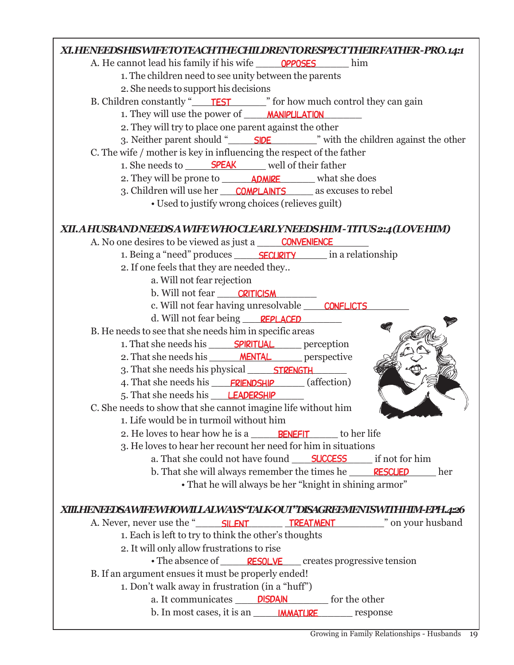

Growing in Family Relationships - Husbands 19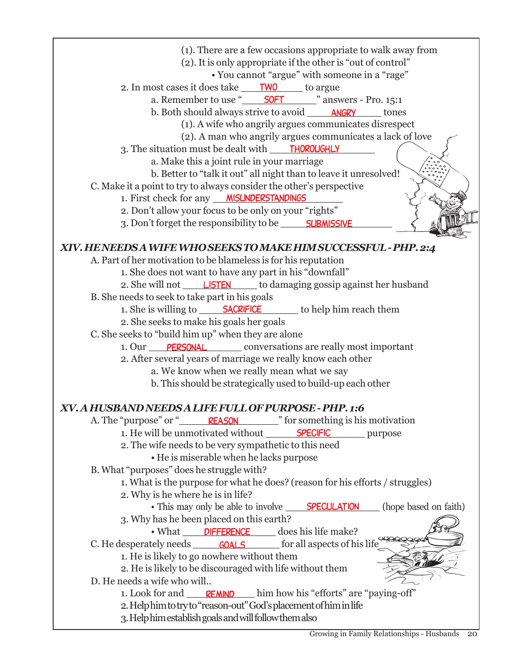(1). There are a few occasions appropriate to walk away from (2). It is only appropriate if the other is "out of control" • You cannot "argue" with someone in a "rage" 2. In most cases it does take <u>TWO</u> to argue a. Remember to use "\_\_\_\_\_\_\_\_\_\_\_\_" answers - Pro. 15:1 soft b. Both should always strive to avoid \_\_\_\_\_\_\_\_\_\_\_\_\_\_\_\_\_\_\_\_\_\_\_ tones (1). A wife who angrily argues communicates disrespect (2). A man who angrily argues communicates a lack of love 3. The situation must be dealt with \_\_\_\_\_\_\_\_\_\_\_\_\_\_\_\_\_ thoroughly a. Make this a joint rule in your marriage b. Better to "talk it out" all night than to leave it unresolved! C. Make it a point to try to always consider the other's perspective 1. First check for any \_\_\_\_\_\_\_\_\_\_\_\_\_\_\_\_\_\_\_\_\_ misunderstandings 2. Don't allow your focus to be only on your "rights" 3. Don't forget the responsibility to be \_\_\_\_\_\_\_**SUBMISSIVE** *XIV. HE NEEDS A WIFE WHO SEEKS TO MAKE HIM SUCCESSFUL - PHP. 2:4* A. Part of her motivation to be blameless is for his reputation 1. She does not want to have any part in his "downfall" 2. She will not **LISTEN** to damaging gossip against her husband B. She needs to seek to take part in his goals 1. She is willing to **SACRIFICE** to help him reach them 2. She seeks to make his goals her goals C. She seeks to "build him up" when they are alone 1. Our PERSONAL conversations are really most important 2. After several years of marriage we really know each other a. We know when we really mean what we say b. This should be strategically used to build-up each other *XV. A HUSBAND NEEDS A LIFE FULL OF PURPOSE - PHP. 1:6* A. The "purpose" or " **REASON**<sup>"</sup> for something is his motivation 1. He will be unmotivated without \_\_\_\_\_\_\_\_\_\_\_\_\_\_\_\_ purpose specific 2. The wife needs to be very sympathetic to this need • He is miserable when he lacks purpose B. What "purposes" does he struggle with? 1. What is the purpose for what he does? (reason for his efforts / struggles) 2. Why is he where he is in life? • This may only be able to involve **SPECULATION** (hope based on faith) 3. Why has he been placed on this earth? • What **DIFFERENCE** does his life make? C. He desperately needs **GOALS** for all aspects of his life 1. He is likely to go nowhere without them 2. He is likely to be discouraged with life without them D. He needs a wife who will.. 1. Look for and **REMND** him how his "efforts" are "paying-off" 2. Help him to try to "reason-out" God's placement of him in life 3. Help him establish goals and will follow them also **SPECULATION**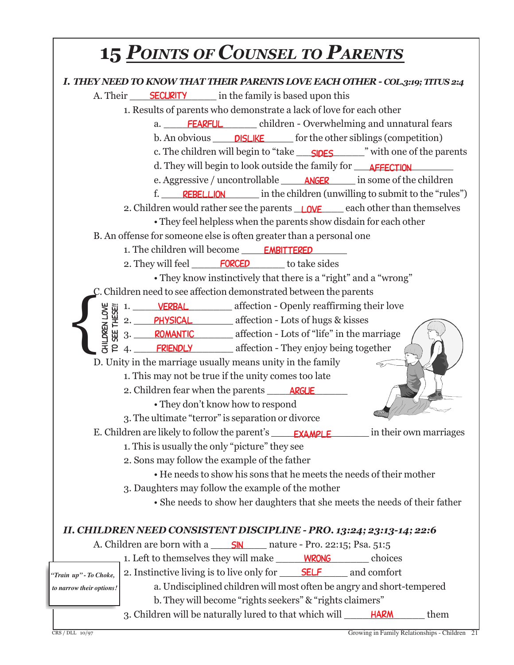#### **15** *POINTS OF COUNSEL TO PARENTS I. THEY NEED TO KNOW THAT THEIR PARENTS LOVE EACH OTHER - COL.3:19; TITUS 2:4* A. Their **SECURITY** in the family is based upon this 1. Results of parents who demonstrate a lack of love for each other a. FEARFUL children - Overwhelming and unnatural fears b. An obvious **DISLIKE** for the other siblings (competition) c. The children will begin to "take <u>\_\_\_\_\_\_\_\_\_\_\_\_\_\_\_\_\_</u>" with one of the parents d. They will begin to look outside the family for \_\_\_\_\_\_\_\_\_\_\_\_\_\_\_\_\_\_\_\_\_\_\_\_\_\_\_\_\_\_ e. Aggressive / uncontrollable \_\_\_\_\_\_\_\_\_\_\_\_ in some of the children anger f. REBELLION in the children (unwilling to submit to the "rules") 2. Children would rather see the parents **LOVE** each other than themselves • They feel helpless when the parents show disdain for each other B. An offense for someone else is often greater than a personal one 1. The children will become **EMBITTERED** 2. They will feel **FORCED** to take sides • They know instinctively that there is a "right" and a "wrong" C. Children need to see affection demonstrated between the parents  $\bigg\{$ 1. VERBAL affection - Openly reaffirming their love **DREN LOVE** Children love to see these!! 2. PHYSICAL affection - Lots of hugs & kisses **SEE** 3. ROMANTIC **EXECUTE:** affection - Lots of "life" in the marriage 4. FRIENDLY **EXERUSE A** affection - They enjoy being together D. Unity in the marriage usually means unity in the family 1. This may not be true if the unity comes too late 2. Children fear when the parents \_\_\_\_\_\_\_\_\_\_\_\_\_ argue• They don't know how to respond 3. The ultimate "terror" is separation or divorce E. Children are likely to follow the parent's \_\_\_\_\_\_**EXAMPLE** \_\_\_\_\_\_\_\_\_ in their own marriages 1. This is usually the only "picture" they see 2. Sons may follow the example of the father • He needs to show his sons that he meets the needs of their mother 3. Daughters may follow the example of the mother • She needs to show her daughters that she meets the needs of their father *II. CHILDREN NEED CONSISTENT DISCIPLINE - PRO. 13:24; 23:13-14; 22:6* A. Children are born with a \_\_\_\_\_\_\_\_\_ nature - Pro. 22:15; Psa. 51:5 sin 1. Left to themselves they will make <u>wRONG</u> choices 2. Instinctive living is to live only for SELF and comfort *"Train up" - To Choke,* a. Undisciplined children will most often be angry and short-tempered  *to narrow their options!* b. They will become "rights seekers" & "rights claimers" 3. Children will be naturally lured to that which will \_\_\_\_\_\_\_\_\_\_\_\_\_\_\_\_\_\_\_\_\_\_\_ them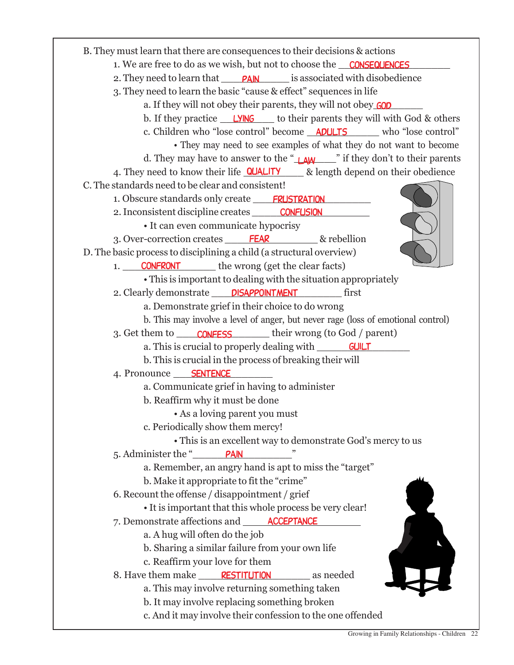B. They must learn that there are consequences to their decisions & actions 1. We are free to do as we wish, but not to choose the **CONSEQUENCES** 2. They need to learn that **PAIN** is associated with disobedience 3. They need to learn the basic "cause & effect" sequences in life a. If they will not obey their parents, they will not obey **GOD** b. If they practice **LYING** to their parents they will with God & others c. Children who "lose control" become **ADULTS** who "lose control" • They may need to see examples of what they do not want to become d. They may have to answer to the "\_**\_\_\_\_\_\_\_\_\_**" if they don't to their parents 4. They need to know their life **QUALITY** & length depend on their obedience C. The standards need to be clear and consistent! 1. Obscure standards only create **FRUSTRATION** 2. Inconsistent discipline creates **CONFUSION** • It can even communicate hypocrisy 3. Over-correction creates FEAR 8 rebellion D. The basic process to disciplining a child (a structural overview) 1. CONFRONT the wrong (get the clear facts) • This is important to dealing with the situation appropriately 2. Clearly demonstrate **DISAPPOINTMENT** first a. Demonstrate grief in their choice to do wrong b. This may involve a level of anger, but never rage (loss of emotional control) 3. Get them to \_\_\_\_\_\_\_\_\_\_\_\_\_\_\_\_\_\_\_\_\_\_\_\_\_\_\_\_\_\_\_\_\_their wrong (to God / parent) a. This is crucial to properly dealing with **GUILT** b. This is crucial in the process of breaking their will 4. Pronounce <u>SENTENCE</u> a. Communicate grief in having to administer b. Reaffirm why it must be done • As a loving parent you must c. Periodically show them mercy! • This is an excellent way to demonstrate God's mercy to us 5. Administer the "\_\_\_\_\_\_\_\_\_\_\_\_\_\_\_\_" pain a. Remember, an angry hand is apt to miss the "target" b. Make it appropriate to fit the "crime" 6. Recount the offense / disappointment / grief • It is important that this whole process be very clear! 7. Demonstrate affections and **ACCEPTANCE** a. A hug will often do the job b. Sharing a similar failure from your own life c. Reaffirm your love for them 8. Have them make <u>RESTITUTION</u> as needed a. This may involve returning something taken b. It may involve replacing something broken c. And it may involve their confession to the one offended